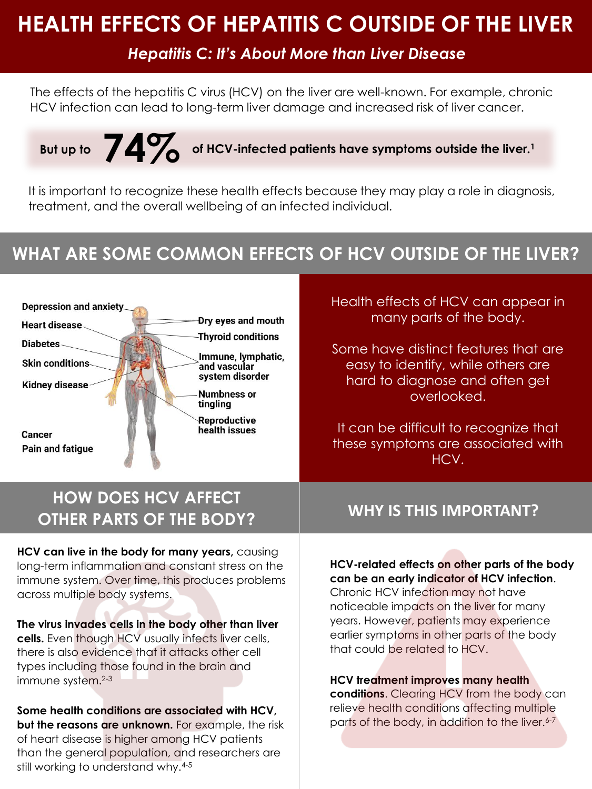## **HEALTH EFFECTS OF HEPATITIS C OUTSIDE OF THE LIVER**

## *Hepatitis C: It's About More than Liver Disease*

The effects of the hepatitis C virus (HCV) on the liver are well-known. For example, chronic HCV infection can lead to long-term liver damage and increased risk of liver cancer.

# **74% But up to of HCV-infected patients have symptoms outside the liver.<sup>1</sup>**

It is important to recognize these health effects because they may play a role in diagnosis, treatment, and the overall wellbeing of an infected individual.

## **WHAT ARE SOME COMMON EFFECTS OF HCV OUTSIDE OF THE LIVER?**



## **HOW DOES HCV AFFECT OTHER PARTS OF THE BODY?**

**HCV can live in the body for many years,** causing long-term inflammation and constant stress on the immune system. Over time, this produces problems across multiple body systems.

**The virus invades cells in the body other than liver cells.** Even though HCV usually infects liver cells, there is also evidence that it attacks other cell types including those found in the brain and immune system.<sup>2-3</sup>

**Some health conditions are associated with HCV, but the reasons are unknown.** For example, the risk of heart disease is higher among HCV patients than the general population, and researchers are still working to understand why.<sup>4-5</sup>

Health effects of HCV can appear in many parts of the body.

Some have distinct features that are easy to identify, while others are hard to diagnose and often get overlooked.

It can be difficult to recognize that these symptoms are associated with HCV.

### **WHY IS THIS IMPORTANT?**

#### **HCV-related effects on other parts of the body can be an early indicator of HCV infection**.

Chronic HCV infection may not have noticeable impacts on the liver for many years. However, patients may experience earlier symptoms in other parts of the body that could be related to HCV.

#### **HCV treatment improves many health**

**conditions**. Clearing HCV from the body can relieve health conditions affecting multiple parts of the body, in addition to the liver.<sup>6-7</sup>